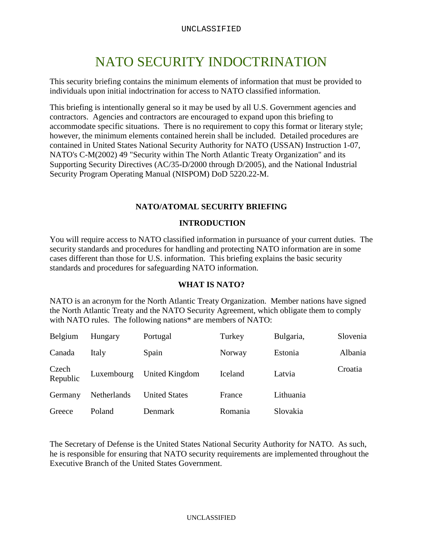# NATO SECURITY INDOCTRINATION

This security briefing contains the minimum elements of information that must be provided to individuals upon initial indoctrination for access to NATO classified information.

This briefing is intentionally general so it may be used by all U.S. Government agencies and contractors. Agencies and contractors are encouraged to expand upon this briefing to accommodate specific situations. There is no requirement to copy this format or literary style; however, the minimum elements contained herein shall be included. Detailed procedures are contained in United States National Security Authority for NATO (USSAN) Instruction 1-07, NATO's C-M(2002) 49 "Security within The North Atlantic Treaty Organization" and its Supporting Security Directives (AC/35-D/2000 through D/2005), and the National Industrial Security Program Operating Manual (NISPOM) DoD 5220.22-M.

## **NATO/ATOMAL SECURITY BRIEFING**

## **INTRODUCTION**

You will require access to NATO classified information in pursuance of your current duties. The security standards and procedures for handling and protecting NATO information are in some cases different than those for U.S. information. This briefing explains the basic security standards and procedures for safeguarding NATO information.

#### **WHAT IS NATO?**

NATO is an acronym for the North Atlantic Treaty Organization. Member nations have signed the North Atlantic Treaty and the NATO Security Agreement, which obligate them to comply with NATO rules. The following nations<sup>\*</sup> are members of NATO:

| Belgium           | Hungary     | Portugal             | Turkey  | Bulgaria, | Slovenia |
|-------------------|-------------|----------------------|---------|-----------|----------|
| Canada            | Italy       | Spain                | Norway  | Estonia   | Albania  |
| Czech<br>Republic | Luxembourg  | United Kingdom       | Iceland | Latvia    | Croatia  |
| Germany           | Netherlands | <b>United States</b> | France  | Lithuania |          |
| Greece            | Poland      | Denmark              | Romania | Slovakia  |          |

The Secretary of Defense is the United States National Security Authority for NATO. As such, he is responsible for ensuring that NATO security requirements are implemented throughout the Executive Branch of the United States Government.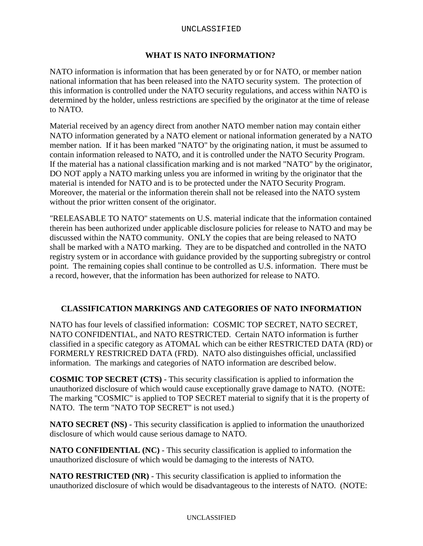#### UNCLASSIFIED

## **WHAT IS NATO INFORMATION?**

NATO information is information that has been generated by or for NATO, or member nation national information that has been released into the NATO security system. The protection of this information is controlled under the NATO security regulations, and access within NATO is determined by the holder, unless restrictions are specified by the originator at the time of release to NATO.

Material received by an agency direct from another NATO member nation may contain either NATO information generated by a NATO element or national information generated by a NATO member nation. If it has been marked "NATO" by the originating nation, it must be assumed to contain information released to NATO, and it is controlled under the NATO Security Program. If the material has a national classification marking and is not marked "NATO" by the originator, DO NOT apply a NATO marking unless you are informed in writing by the originator that the material is intended for NATO and is to be protected under the NATO Security Program. Moreover, the material or the information therein shall not be released into the NATO system without the prior written consent of the originator.

"RELEASABLE TO NATO" statements on U.S. material indicate that the information contained therein has been authorized under applicable disclosure policies for release to NATO and may be discussed within the NATO community. ONLY the copies that are being released to NATO shall be marked with a NATO marking. They are to be dispatched and controlled in the NATO registry system or in accordance with guidance provided by the supporting subregistry or control point. The remaining copies shall continue to be controlled as U.S. information. There must be a record, however, that the information has been authorized for release to NATO.

#### **CLASSIFICATION MARKINGS AND CATEGORIES OF NATO INFORMATION**

NATO has four levels of classified information: COSMIC TOP SECRET, NATO SECRET, NATO CONFIDENTIAL, and NATO RESTRICTED. Certain NATO information is further classified in a specific category as ATOMAL which can be either RESTRICTED DATA (RD) or FORMERLY RESTRICRED DATA (FRD). NATO also distinguishes official, unclassified information. The markings and categories of NATO information are described below.

**COSMIC TOP SECRET (CTS)** - This security classification is applied to information the unauthorized disclosure of which would cause exceptionally grave damage to NATO. (NOTE: The marking "COSMIC" is applied to TOP SECRET material to signify that it is the property of NATO. The term "NATO TOP SECRET" is not used.)

**NATO SECRET (NS)** - This security classification is applied to information the unauthorized disclosure of which would cause serious damage to NATO.

**NATO CONFIDENTIAL (NC)** - This security classification is applied to information the unauthorized disclosure of which would be damaging to the interests of NATO.

**NATO RESTRICTED (NR)** - This security classification is applied to information the unauthorized disclosure of which would be disadvantageous to the interests of NATO. (NOTE: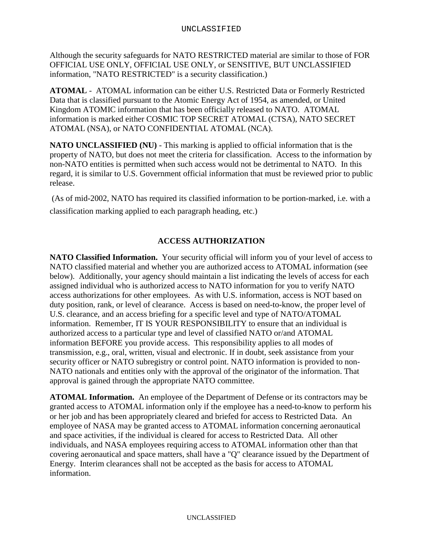Although the security safeguards for NATO RESTRICTED material are similar to those of FOR OFFICIAL USE ONLY, OFFICIAL USE ONLY, or SENSITIVE, BUT UNCLASSIFIED information, "NATO RESTRICTED" is a security classification.)

**ATOMAL** - ATOMAL information can be either U.S. Restricted Data or Formerly Restricted Data that is classified pursuant to the Atomic Energy Act of 1954, as amended, or United Kingdom ATOMIC information that has been officially released to NATO. ATOMAL information is marked either COSMIC TOP SECRET ATOMAL (CTSA), NATO SECRET ATOMAL (NSA), or NATO CONFIDENTIAL ATOMAL (NCA).

**NATO UNCLASSIFIED (NU)** - This marking is applied to official information that is the property of NATO, but does not meet the criteria for classification. Access to the information by non-NATO entities is permitted when such access would not be detrimental to NATO. In this regard, it is similar to U.S. Government official information that must be reviewed prior to public release.

(As of mid-2002, NATO has required its classified information to be portion-marked, i.e. with a classification marking applied to each paragraph heading, etc.)

## **ACCESS AUTHORIZATION**

**NATO Classified Information.** Your security official will inform you of your level of access to NATO classified material and whether you are authorized access to ATOMAL information (see below). Additionally, your agency should maintain a list indicating the levels of access for each assigned individual who is authorized access to NATO information for you to verify NATO access authorizations for other employees. As with U.S. information, access is NOT based on duty position, rank, or level of clearance. Access is based on need-to-know, the proper level of U.S. clearance, and an access briefing for a specific level and type of NATO/ATOMAL information. Remember, IT IS YOUR RESPONSIBILITY to ensure that an individual is authorized access to a particular type and level of classified NATO or/and ATOMAL information BEFORE you provide access. This responsibility applies to all modes of transmission, e.g., oral, written, visual and electronic. If in doubt, seek assistance from your security officer or NATO subregistry or control point. NATO information is provided to non-NATO nationals and entities only with the approval of the originator of the information. That approval is gained through the appropriate NATO committee.

**ATOMAL Information.** An employee of the Department of Defense or its contractors may be granted access to ATOMAL information only if the employee has a need-to-know to perform his or her job and has been appropriately cleared and briefed for access to Restricted Data. An employee of NASA may be granted access to ATOMAL information concerning aeronautical and space activities, if the individual is cleared for access to Restricted Data. All other individuals, and NASA employees requiring access to ATOMAL information other than that covering aeronautical and space matters, shall have a "Q" clearance issued by the Department of Energy. Interim clearances shall not be accepted as the basis for access to ATOMAL information.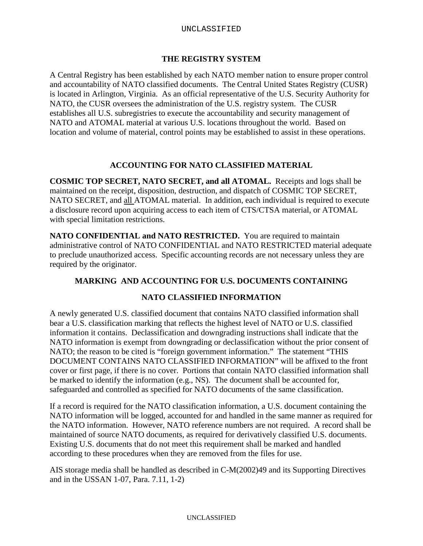## **THE REGISTRY SYSTEM**

A Central Registry has been established by each NATO member nation to ensure proper control and accountability of NATO classified documents. The Central United States Registry (CUSR) is located in Arlington, Virginia. As an official representative of the U.S. Security Authority for NATO, the CUSR oversees the administration of the U.S. registry system. The CUSR establishes all U.S. subregistries to execute the accountability and security management of NATO and ATOMAL material at various U.S. locations throughout the world. Based on location and volume of material, control points may be established to assist in these operations.

## **ACCOUNTING FOR NATO CLASSIFIED MATERIAL**

**COSMIC TOP SECRET, NATO SECRET, and all ATOMAL.** Receipts and logs shall be maintained on the receipt, disposition, destruction, and dispatch of COSMIC TOP SECRET, NATO SECRET, and all ATOMAL material. In addition, each individual is required to execute a disclosure record upon acquiring access to each item of CTS/CTSA material, or ATOMAL with special limitation restrictions.

NATO CONFIDENTIAL and NATO RESTRICTED. You are required to maintain administrative control of NATO CONFIDENTIAL and NATO RESTRICTED material adequate to preclude unauthorized access. Specific accounting records are not necessary unless they are required by the originator.

## **MARKING AND ACCOUNTING FOR U.S. DOCUMENTS CONTAINING**

## **NATO CLASSIFIED INFORMATION**

A newly generated U.S. classified document that contains NATO classified information shall bear a U.S. classification marking that reflects the highest level of NATO or U.S. classified information it contains. Declassification and downgrading instructions shall indicate that the NATO information is exempt from downgrading or declassification without the prior consent of NATO; the reason to be cited is "foreign government information." The statement "THIS DOCUMENT CONTAINS NATO CLASSIFIED INFORMATION" will be affixed to the front cover or first page, if there is no cover. Portions that contain NATO classified information shall be marked to identify the information (e.g., NS). The document shall be accounted for, safeguarded and controlled as specified for NATO documents of the same classification.

If a record is required for the NATO classification information, a U.S. document containing the NATO information will be logged, accounted for and handled in the same manner as required for the NATO information. However, NATO reference numbers are not required. A record shall be maintained of source NATO documents, as required for derivatively classified U.S. documents. Existing U.S. documents that do not meet this requirement shall be marked and handled according to these procedures when they are removed from the files for use.

AIS storage media shall be handled as described in C-M(2002)49 and its Supporting Directives and in the USSAN 1-07, Para. 7.11, 1-2)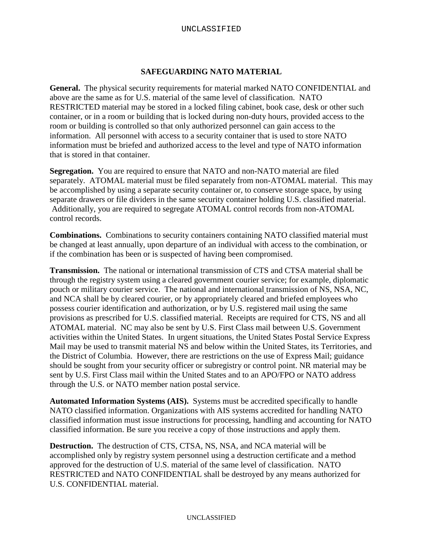## **SAFEGUARDING NATO MATERIAL**

**General.** The physical security requirements for material marked NATO CONFIDENTIAL and above are the same as for U.S. material of the same level of classification. NATO RESTRICTED material may be stored in a locked filing cabinet, book case, desk or other such container, or in a room or building that is locked during non-duty hours, provided access to the room or building is controlled so that only authorized personnel can gain access to the information. All personnel with access to a security container that is used to store NATO information must be briefed and authorized access to the level and type of NATO information that is stored in that container.

**Segregation.** You are required to ensure that NATO and non-NATO material are filed separately. ATOMAL material must be filed separately from non-ATOMAL material. This may be accomplished by using a separate security container or, to conserve storage space, by using separate drawers or file dividers in the same security container holding U.S. classified material. Additionally, you are required to segregate ATOMAL control records from non-ATOMAL control records.

**Combinations.** Combinations to security containers containing NATO classified material must be changed at least annually, upon departure of an individual with access to the combination, or if the combination has been or is suspected of having been compromised.

**Transmission.** The national or international transmission of CTS and CTSA material shall be through the registry system using a cleared government courier service; for example, diplomatic pouch or military courier service. The national and international transmission of NS, NSA, NC, and NCA shall be by cleared courier, or by appropriately cleared and briefed employees who possess courier identification and authorization, or by U.S. registered mail using the same provisions as prescribed for U.S. classified material. Receipts are required for CTS, NS and all ATOMAL material. NC may also be sent by U.S. First Class mail between U.S. Government activities within the United States. In urgent situations, the United States Postal Service Express Mail may be used to transmit material NS and below within the United States, its Territories, and the District of Columbia. However, there are restrictions on the use of Express Mail; guidance should be sought from your security officer or subregistry or control point. NR material may be sent by U.S. First Class mail within the United States and to an APO/FPO or NATO address through the U.S. or NATO member nation postal service.

**Automated Information Systems (AIS).** Systems must be accredited specifically to handle NATO classified information. Organizations with AIS systems accredited for handling NATO classified information must issue instructions for processing, handling and accounting for NATO classified information. Be sure you receive a copy of those instructions and apply them.

**Destruction.** The destruction of CTS, CTSA, NS, NSA, and NCA material will be accomplished only by registry system personnel using a destruction certificate and a method approved for the destruction of U.S. material of the same level of classification. NATO RESTRICTED and NATO CONFIDENTIAL shall be destroyed by any means authorized for U.S. CONFIDENTIAL material.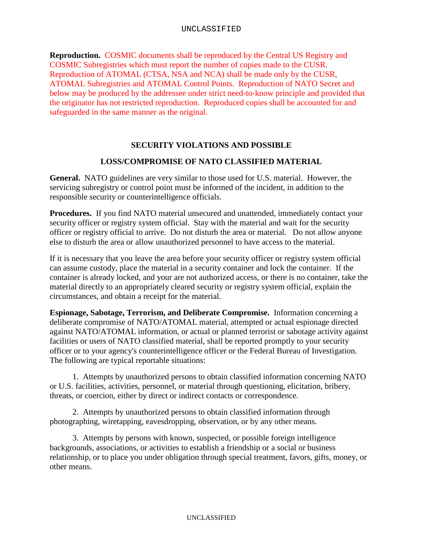**Reproduction.** COSMIC documents shall be reproduced by the Central US Registry and COSMIC Subregistries which must report the number of copies made to the CUSR. Reproduction of ATOMAL (CTSA, NSA and NCA) shall be made only by the CUSR, ATOMAL Subregistries and ATOMAL Control Points. Reproduction of NATO Secret and below may be produced by the addressee under strict need-to-know principle and provided that the originator has not restricted reproduction. Reproduced copies shall be accounted for and safeguarded in the same manner as the original.

## **SECURITY VIOLATIONS AND POSSIBLE**

#### **LOSS/COMPROMISE OF NATO CLASSIFIED MATERIAL**

**General.** NATO guidelines are very similar to those used for U.S. material. However, the servicing subregistry or control point must be informed of the incident, in addition to the responsible security or counterintelligence officials.

**Procedures.** If you find NATO material unsecured and unattended, immediately contact your security officer or registry system official. Stay with the material and wait for the security officer or registry official to arrive. Do not disturb the area or material. Do not allow anyone else to disturb the area or allow unauthorized personnel to have access to the material.

If it is necessary that you leave the area before your security officer or registry system official can assume custody, place the material in a security container and lock the container. If the container is already locked, and your are not authorized access, or there is no container, take the material directly to an appropriately cleared security or registry system official, explain the circumstances, and obtain a receipt for the material.

**Espionage, Sabotage, Terrorism, and Deliberate Compromise.** Information concerning a deliberate compromise of NATO/ATOMAL material, attempted or actual espionage directed against NATO/ATOMAL information, or actual or planned terrorist or sabotage activity against facilities or users of NATO classified material, shall be reported promptly to your security officer or to your agency's counterintelligence officer or the Federal Bureau of Investigation. The following are typical reportable situations:

 1. Attempts by unauthorized persons to obtain classified information concerning NATO or U.S. facilities, activities, personnel, or material through questioning, elicitation, bribery, threats, or coercion, either by direct or indirect contacts or correspondence.

 2. Attempts by unauthorized persons to obtain classified information through photographing, wiretapping, eavesdropping, observation, or by any other means.

 3. Attempts by persons with known, suspected, or possible foreign intelligence backgrounds, associations, or activities to establish a friendship or a social or business relationship, or to place you under obligation through special treatment, favors, gifts, money, or other means.